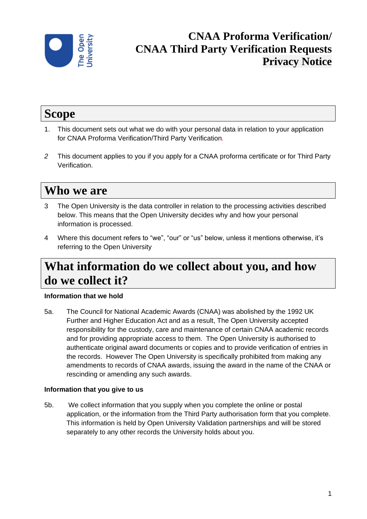

## **CNAA Proforma Verification/ CNAA Third Party Verification Requests Privacy Notice**

# **Scope**

- 1. This document sets out what we do with your personal data in relation to your application for CNAA Proforma Verification/Third Party Verification*.*
- *2* This document applies to you if you apply for a CNAA proforma certificate or for Third Party Verification.

# **Who we are**

- 3 The Open University is the data controller in relation to the processing activities described below. This means that the Open University decides why and how your personal information is processed.
- 4 Where this document refers to "we", "our" or "us" below, unless it mentions otherwise, it's referring to the Open University

# **What information do we collect about you, and how do we collect it?**

### **Information that we hold**

5a. The Council for National Academic Awards (CNAA) was abolished by the 1992 UK Further and Higher Education Act and as a result, The Open University accepted responsibility for the custody, care and maintenance of certain CNAA academic records and for providing appropriate access to them. The Open University is authorised to authenticate original award documents or copies and to provide verification of entries in the records. However The Open University is specifically prohibited from making any amendments to records of CNAA awards, issuing the award in the name of the CNAA or rescinding or amending any such awards.

#### **Information that you give to us**

5b. We collect information that you supply when you complete the online or postal application, or the information from the Third Party authorisation form that you complete. This information is held by Open University Validation partnerships and will be stored separately to any other records the University holds about you.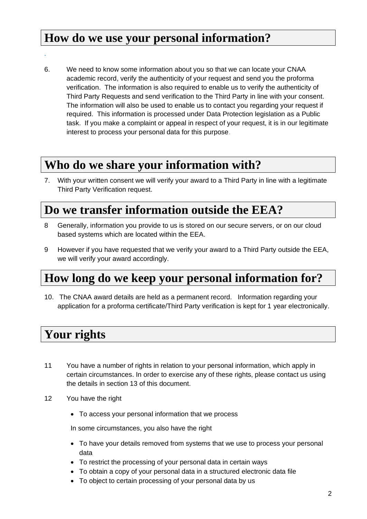### **How do we use your personal information?**

6. We need to know some information about you so that we can locate your CNAA academic record, verify the authenticity of your request and send you the proforma verification. The information is also required to enable us to verify the authenticity of Third Party Requests and send verification to the Third Party in line with your consent. The information will also be used to enable us to contact you regarding your request if required. This information is processed under Data Protection legislation as a Public task. If you make a complaint or appeal in respect of your request, it is in our legitimate interest to process your personal data for this purpose.

## **Who do we share your information with?**

7. With your written consent we will verify your award to a Third Party in line with a legitimate Third Party Verification request.

## **Do we transfer information outside the EEA?**

- 8 Generally, information you provide to us is stored on our secure servers, or on our cloud based systems which are located within the EEA.
- 9 However if you have requested that we verify your award to a Third Party outside the EEA, we will verify your award accordingly.

# **How long do we keep your personal information for?**

10. The CNAA award details are held as a permanent record. Information regarding your application for a proforma certificate/Third Party verification is kept for 1 year electronically.

## **Your rights**

.

- 11 You have a number of rights in relation to your personal information, which apply in certain circumstances. In order to exercise any of these rights, please contact us using the details in section 13 of this document.
- 12 You have the right
	- To access your personal information that we process

In some circumstances, you also have the right

- To have your details removed from systems that we use to process your personal data
- To restrict the processing of your personal data in certain ways
- To obtain a copy of your personal data in a structured electronic data file
- To object to certain processing of your personal data by us